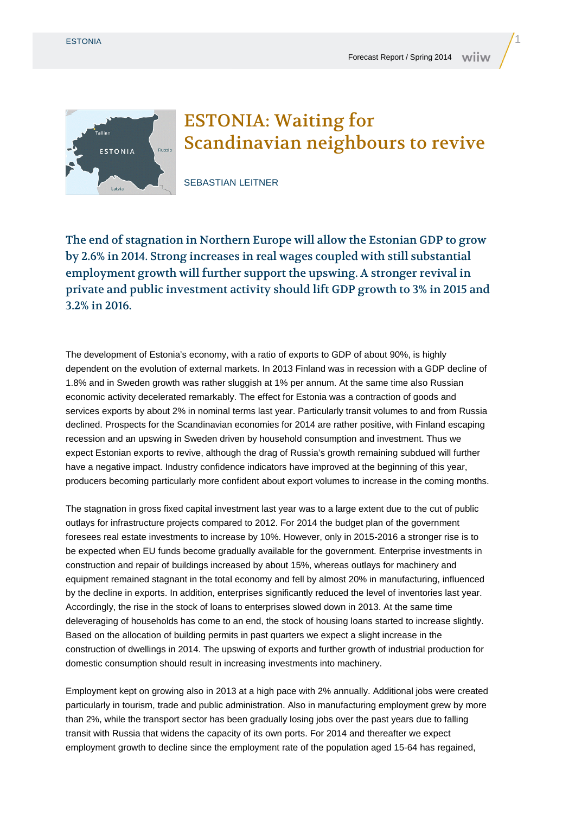

## ESTONIA: Waiting for Scandinavian neighbours to revive

SEBASTIAN LEITNER

The end of stagnation in Northern Europe will allow the Estonian GDP to grow by 2.6% in 2014. Strong increases in real wages coupled with still substantial employment growth will further support the upswing. A stronger revival in private and public investment activity should lift GDP growth to 3% in 2015 and 3.2% in 2016.

The development of Estonia's economy, with a ratio of exports to GDP of about 90%, is highly dependent on the evolution of external markets. In 2013 Finland was in recession with a GDP decline of 1.8% and in Sweden growth was rather sluggish at 1% per annum. At the same time also Russian economic activity decelerated remarkably. The effect for Estonia was a contraction of goods and services exports by about 2% in nominal terms last year. Particularly transit volumes to and from Russia declined. Prospects for the Scandinavian economies for 2014 are rather positive, with Finland escaping recession and an upswing in Sweden driven by household consumption and investment. Thus we expect Estonian exports to revive, although the drag of Russia's growth remaining subdued will further have a negative impact. Industry confidence indicators have improved at the beginning of this year, producers becoming particularly more confident about export volumes to increase in the coming months.

The stagnation in gross fixed capital investment last year was to a large extent due to the cut of public outlays for infrastructure projects compared to 2012. For 2014 the budget plan of the government foresees real estate investments to increase by 10%. However, only in 2015-2016 a stronger rise is to be expected when EU funds become gradually available for the government. Enterprise investments in construction and repair of buildings increased by about 15%, whereas outlays for machinery and equipment remained stagnant in the total economy and fell by almost 20% in manufacturing, influenced by the decline in exports. In addition, enterprises significantly reduced the level of inventories last year. Accordingly, the rise in the stock of loans to enterprises slowed down in 2013. At the same time deleveraging of households has come to an end, the stock of housing loans started to increase slightly. Based on the allocation of building permits in past quarters we expect a slight increase in the construction of dwellings in 2014. The upswing of exports and further growth of industrial production for domestic consumption should result in increasing investments into machinery.

Employment kept on growing also in 2013 at a high pace with 2% annually. Additional jobs were created particularly in tourism, trade and public administration. Also in manufacturing employment grew by more than 2%, while the transport sector has been gradually losing jobs over the past years due to falling transit with Russia that widens the capacity of its own ports. For 2014 and thereafter we expect employment growth to decline since the employment rate of the population aged 15-64 has regained,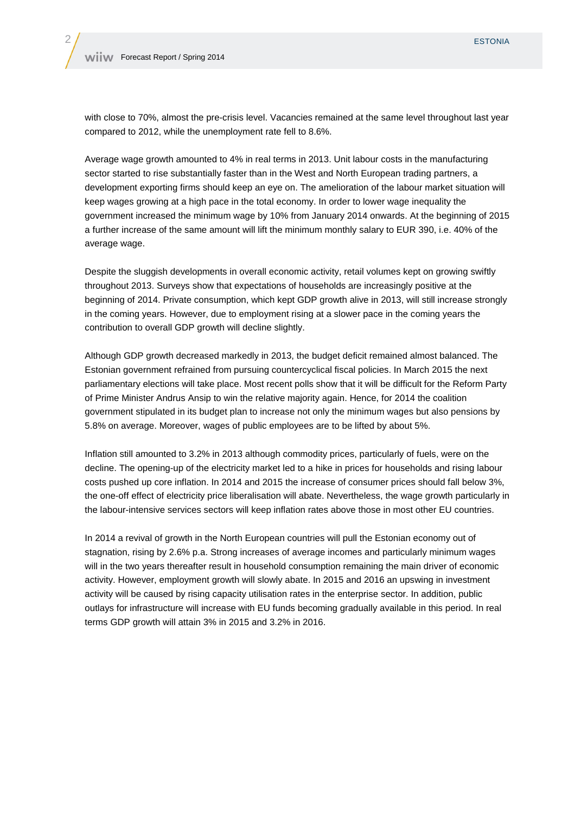with close to 70%, almost the pre-crisis level. Vacancies remained at the same level throughout last year compared to 2012, while the unemployment rate fell to 8.6%.

Average wage growth amounted to 4% in real terms in 2013. Unit labour costs in the manufacturing sector started to rise substantially faster than in the West and North European trading partners, a development exporting firms should keep an eye on. The amelioration of the labour market situation will keep wages growing at a high pace in the total economy. In order to lower wage inequality the government increased the minimum wage by 10% from January 2014 onwards. At the beginning of 2015 a further increase of the same amount will lift the minimum monthly salary to EUR 390, i.e. 40% of the average wage.

Despite the sluggish developments in overall economic activity, retail volumes kept on growing swiftly throughout 2013. Surveys show that expectations of households are increasingly positive at the beginning of 2014. Private consumption, which kept GDP growth alive in 2013, will still increase strongly in the coming years. However, due to employment rising at a slower pace in the coming years the contribution to overall GDP growth will decline slightly.

Although GDP growth decreased markedly in 2013, the budget deficit remained almost balanced. The Estonian government refrained from pursuing countercyclical fiscal policies. In March 2015 the next parliamentary elections will take place. Most recent polls show that it will be difficult for the Reform Party of Prime Minister Andrus Ansip to win the relative majority again. Hence, for 2014 the coalition government stipulated in its budget plan to increase not only the minimum wages but also pensions by 5.8% on average. Moreover, wages of public employees are to be lifted by about 5%.

Inflation still amounted to 3.2% in 2013 although commodity prices, particularly of fuels, were on the decline. The opening-up of the electricity market led to a hike in prices for households and rising labour costs pushed up core inflation. In 2014 and 2015 the increase of consumer prices should fall below 3%, the one-off effect of electricity price liberalisation will abate. Nevertheless, the wage growth particularly in the labour-intensive services sectors will keep inflation rates above those in most other EU countries.

In 2014 a revival of growth in the North European countries will pull the Estonian economy out of stagnation, rising by 2.6% p.a. Strong increases of average incomes and particularly minimum wages will in the two years thereafter result in household consumption remaining the main driver of economic activity. However, employment growth will slowly abate. In 2015 and 2016 an upswing in investment activity will be caused by rising capacity utilisation rates in the enterprise sector. In addition, public outlays for infrastructure will increase with EU funds becoming gradually available in this period. In real terms GDP growth will attain 3% in 2015 and 3.2% in 2016.